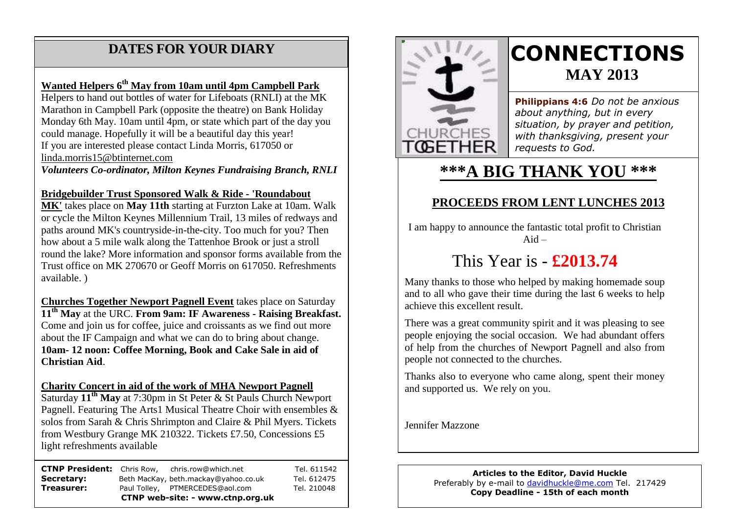## **DATES FOR YOUR DIARY**

#### **Wanted Helpers 6th May from 10am until 4pm Campbell Park**

 Marathon in Campbell Park (opposite the theatre) on Bank Holiday Monday 6th May. 10am until 4pm, or state which part of the day you Helpers to hand out bottles of water for Lifeboats (RNLI) at the MK could manage. Hopefully it will be a beautiful day this year! If you are interested please contact Linda Morris, 617050 or [linda.morris15@btinternet.com](mailto:linda.morris15@btinternet.com)

*Volunteers Co-ordinator, Milton Keynes Fundraising Branch, RNLI*

#### **Bridgebuilder Trust Sponsored Walk & Ride - 'Roundabout**

**MK'** takes place on **May 11th** starting at Furzton Lake at 10am. Walk or cycle the Milton Keynes Millennium Trail, 13 miles of redways and paths around MK's countryside-in-the-city. Too much for you? Then how about a 5 mile walk along the Tattenhoe Brook or just a stroll round the lake? More information and sponsor forms available from the Trust office on MK 270670 or Geoff Morris on 617050. Refreshments available. )

**Churches Together Newport Pagnell Event** takes place on Saturday **11th May** at the URC. **From 9am: IF Awareness - Raising Breakfast.** Come and join us for coffee, juice and croissants as we find out more about the IF Campaign and what we can do to bring about change. **10am- 12 noon: Coffee Morning, Book and Cake Sale in aid of Christian Aid**.

#### **Charity Concert in aid of the work of MHA Newport Pagnell**

Saturday **11th May** at 7:30pm in St Peter & St Pauls Church Newport Pagnell. Featuring The Arts1 Musical Theatre Choir with ensembles & solos from Sarah & Chris Shrimpton and Claire & Phil Myers. Tickets from Westbury Grange MK 210322. Tickets £7.50, Concessions £5 light refreshments available

**CTNP President:** Chris Row, chris.row@which.net Tel. 611542 Secretary: Beth MacKay, beth.mackay@yahoo.co.uk Tel. 612475 **Treasurer:** Paul Tolley, PTMERCEDES@aol.com Tel. 210048 **CTNP web-site: - www.ctnp.org.uk**



# **CONNECTIONS MAY 2013**

**Philippians 4:6** *Do not be anxious about anything, but in every situation, by prayer and petition, with thanksgiving, present your requests to God.*

## **\*\*\*A BIG THANK YOU \*\*\***

### **PROCEEDS FROM LENT LUNCHES 2013**

I am happy to announce the fantastic total profit to Christian  $Aid -$ 

## This Year is - **£2013.74**

Many thanks to those who helped by making homemade soup and to all who gave their time during the last 6 weeks to help achieve this excellent result.

There was a great community spirit and it was pleasing to see people enjoying the social occasion. We had abundant offers of help from the churches of Newport Pagnell and also from people not connected to the churches.

Thanks also to everyone who came along, spent their money and supported us. We rely on you.

Jennifer Mazzone

#### **Articles to the Editor, David Huckle** Preferably by e-mail to [davidhuckle@me.com](mailto:davidhuckle@me.com) Tel. 217429 **Copy Deadline - 15th of each month**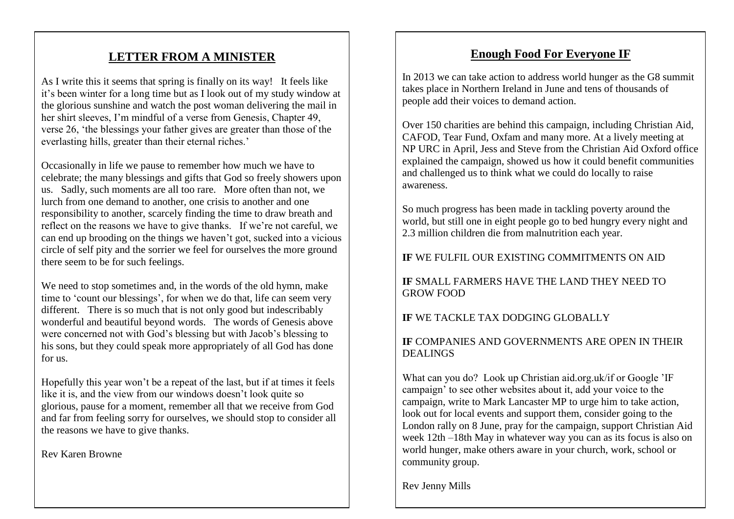### **LETTER FROM A MINISTER**

As I write this it seems that spring is finally on its way! It feels like it's been winter for a long time but as I look out of my study window at the glorious sunshine and watch the post woman delivering the mail in her shirt sleeves, I'm mindful of a verse from Genesis, Chapter 49, verse 26, 'the blessings your father gives are greater than those of the everlasting hills, greater than their eternal riches.'

Occasionally in life we pause to remember how much we have to celebrate; the many blessings and gifts that God so freely showers upon us. Sadly, such moments are all too rare. More often than not, we lurch from one demand to another, one crisis to another and one responsibility to another, scarcely finding the time to draw breath and reflect on the reasons we have to give thanks. If we're not careful, we can end up brooding on the things we haven't got, sucked into a vicious circle of self pity and the sorrier we feel for ourselves the more ground there seem to be for such feelings.

We need to stop sometimes and, in the words of the old hymn, make time to 'count our blessings', for when we do that, life can seem very different. There is so much that is not only good but indescribably wonderful and beautiful beyond words. The words of Genesis above were concerned not with God's blessing but with Jacob's blessing to his sons, but they could speak more appropriately of all God has done for us.

Hopefully this year won't be a repeat of the last, but if at times it feels like it is, and the view from our windows doesn't look quite so glorious, pause for a moment, remember all that we receive from God and far from feeling sorry for ourselves, we should stop to consider all the reasons we have to give thanks.

Rev Karen Browne

### **Enough Food For Everyone IF**

In 2013 we can take action to address world hunger as the G8 summit takes place in Northern Ireland in June and tens of thousands of people add their voices to demand action.

Over 150 charities are behind this campaign, including Christian Aid, CAFOD, Tear Fund, Oxfam and many more. At a lively meeting at NP URC in April, Jess and Steve from the Christian Aid Oxford office explained the campaign, showed us how it could benefit communities and challenged us to think what we could do locally to raise awareness.

So much progress has been made in tackling poverty around the world, but still one in eight people go to bed hungry every night and 2.3 million children die from malnutrition each year.

#### **IF** WE FULFIL OUR EXISTING COMMITMENTS ON AID

#### **IF** SMALL FARMERS HAVE THE LAND THEY NEED TO GROW FOOD

#### **IF** WE TACKLE TAX DODGING GLOBALLY

#### **IF** COMPANIES AND GOVERNMENTS ARE OPEN IN THEIR DEALINGS

What can you do? Look up Christian aid.org.uk/if or Google 'IF campaign' to see other websites about it, add your voice to the campaign, write to Mark Lancaster MP to urge him to take action, look out for local events and support them, consider going to the London rally on 8 June, pray for the campaign, support Christian Aid week 12th –18th May in whatever way you can as its focus is also on world hunger, make others aware in your church, work, school or community group.

Rev Jenny Mills